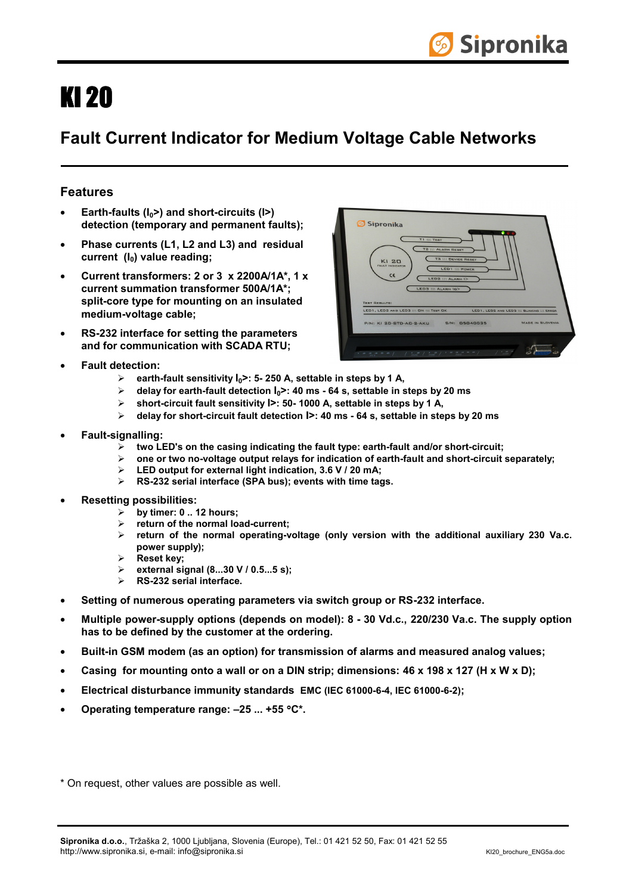## KI 20

## **Fault Current Indicator for Medium Voltage Cable Networks**

## **Features**

- **Earth-faults (I0>) and short-circuits (I>) detection (temporary and permanent faults);**
- **Phase currents (L1, L2 and L3) and residual**  current (I<sub>0</sub>) value reading;
- **Current transformers: 2 or 3 x 2200A/1A\*, 1 x current summation transformer 500A/1A\*; split-core type for mounting on an insulated medium-voltage cable;**
- **RS-232 interface for setting the parameters and for communication with SCADA RTU;**
- **Fault detection:** 
	- ¾ **earth-fault sensitivity I0>: 5- 250 A, settable in steps by 1 A,**
	- ¾ **delay for earth-fault detection I0>: 40 ms 64 s, settable in steps by 20 ms**
	- ¾ **short-circuit fault sensitivity I>: 50- 1000 A, settable in steps by 1 A,**
	- ¾ **delay for short-circuit fault detection I>: 40 ms 64 s, settable in steps by 20 ms**
- **Fault-signalling:** 
	- ¾ **two LED's on the casing indicating the fault type: earth-fault and/or short-circuit;**
	- ¾ **one or two no-voltage output relays for indication of earth-fault and short-circuit separately;**
	- ¾ **LED output for external light indication, 3.6 V / 20 mA;**
	- ¾ **RS-232 serial interface (SPA bus); events with time tags.**
- **Resetting possibilities:** 
	- ¾ **by timer: 0 .. 12 hours;**
	- ¾ **return of the normal load-current;**
	- ¾ **return of the normal operating-voltage (only version with the additional auxiliary 230 Va.c. power supply);**
	- ¾ **Reset key;**
	- ¾ **external signal (8...30 V / 0.5...5 s);**
	- ¾ **RS-232 serial interface.**
- **Setting of numerous operating parameters via switch group or RS-232 interface.**
- **Multiple power-supply options (depends on model): 8 30 Vd.c., 220/230 Va.c. The supply option has to be defined by the customer at the ordering.**
- **Built-in GSM modem (as an option) for transmission of alarms and measured analog values;**
- **Casing for mounting onto a wall or on a DIN strip; dimensions: 46 x 198 x 127 (H x W x D);**
- **Electrical disturbance immunity standards EMC (IEC 61000-6-4, IEC 61000-6-2);**
- **Operating temperature range: –25 ... +55** °**C\*.**
- \* On request, other values are possible as well.



| LED1 ::: POWER<br>C€<br>LEDZ ::: ALARM I><br>LED3 ::: ALARM IQ><br><b>TEST REBULTS:</b><br>LED1, LED2 AND LED3 ::: ON ::: TEST OK<br>LED1, LED2 AND LED3 ::: BLINKING ::: ERROR<br><b>MADE IN SLOVENIA</b><br>P/N: KI 20-STD-AC-2-AKU 5/N: 05040035 | Sipronika<br><b>T1 ::: TEST</b><br><b>TZ ::: ALARM RESET</b><br><b>T3 ::: DEVICE REBET</b><br>KI 20<br><b>FAULT INDICATOR</b> |
|-----------------------------------------------------------------------------------------------------------------------------------------------------------------------------------------------------------------------------------------------------|-------------------------------------------------------------------------------------------------------------------------------|
|                                                                                                                                                                                                                                                     |                                                                                                                               |
|                                                                                                                                                                                                                                                     |                                                                                                                               |